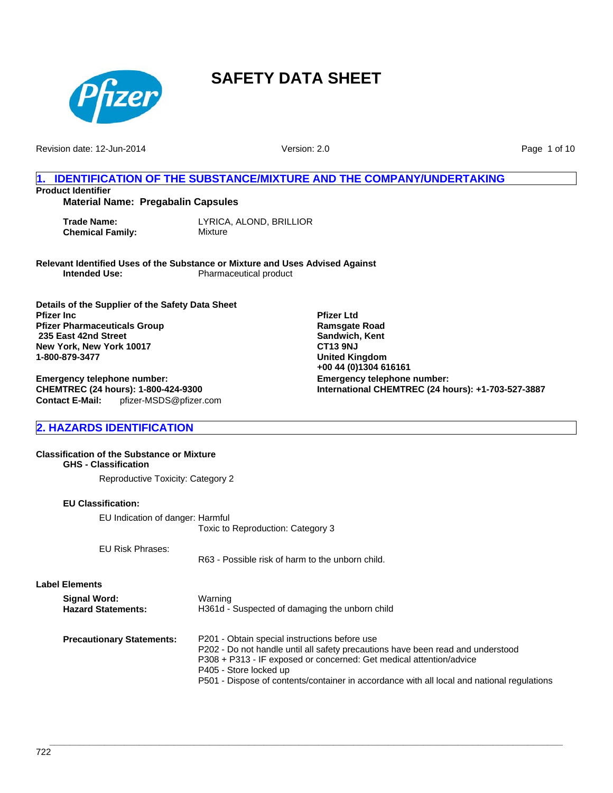

Revision date: 12-Jun-2014

Version: 2.0

**Emergency telephone number:**

**Pfizer Ltd Ramsgate Road Sandwich, Kent CT13 9NJ United Kingdom +00 44 (0)1304 616161**

**International CHEMTREC (24 hours): +1-703-527-3887**

Page 1 of 10

# **1. IDENTIFICATION OF THE SUBSTANCE/MIXTURE AND THE COMPANY/UNDERTAKING Product Identifier**

**Material Name: Pregabalin Capsules**

**Trade Name:** LYRICA, ALOND, BRILLIOR **Chemical Family:** Mixture

**Relevant Identified Uses of the Substance or Mixture and Uses Advised Against Pharmaceutical product** 

**Details of the Supplier of the Safety Data Sheet Pfizer Inc Pfizer Pharmaceuticals Group 235 East 42nd Street New York, New York 10017 1-800-879-3477**

**Contact E-Mail:** pfizer-MSDS@pfizer.com **Emergency telephone number: CHEMTREC (24 hours): 1-800-424-9300**

**2. HAZARDS IDENTIFICATION**

#### **Classification of the Substance or Mixture GHS - Classification**

Reproductive Toxicity: Category 2

#### **EU Classification:**

EU Indication of danger: Harmful Toxic to Reproduction: Category 3

EU Risk Phrases:

R63 - Possible risk of harm to the unborn child.

**Label Elements**

| Signal Word:<br><b>Hazard Statements:</b> | Warning<br>H361d - Suspected of damaging the unborn child                                                                                                                                               |
|-------------------------------------------|---------------------------------------------------------------------------------------------------------------------------------------------------------------------------------------------------------|
| <b>Precautionary Statements:</b>          | P201 - Obtain special instructions before use<br>P202 - Do not handle until all safety precautions have been read and understood<br>P308 + P313 - IF exposed or concerned: Get medical attention/advice |
|                                           | P405 - Store locked up<br>P501 - Dispose of contents/container in accordance with all local and national regulations                                                                                    |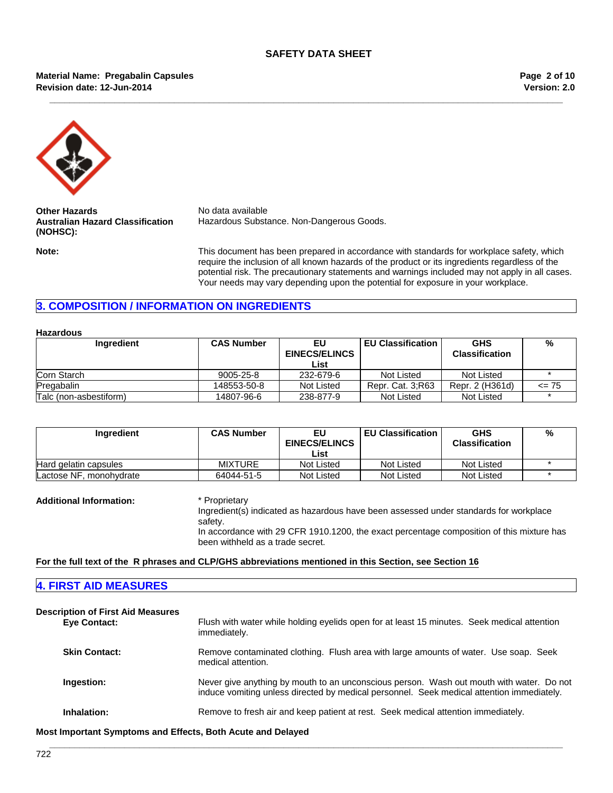**\_\_\_\_\_\_\_\_\_\_\_\_\_\_\_\_\_\_\_\_\_\_\_\_\_\_\_\_\_\_\_\_\_\_\_\_\_\_\_\_\_\_\_\_\_\_\_\_\_\_\_\_\_\_\_\_\_\_\_\_\_\_\_\_\_\_\_\_\_\_\_\_\_\_\_\_\_\_\_\_\_\_\_\_\_\_\_\_\_\_\_\_\_\_\_\_\_\_\_\_\_\_\_**

#### **Revision date: 12-Jun-2014 Material Name: Pregabalin Capsules**

**Version: 2.0 Page 2 of 10**



**Other Hazards** No data available **Australian Hazard Classification (NOHSC):**

Hazardous Substance. Non-Dangerous Goods.

**Note:** This document has been prepared in accordance with standards for workplace safety, which require the inclusion of all known hazards of the product or its ingredients regardless of the potential risk. The precautionary statements and warnings included may not apply in all cases. Your needs may vary depending upon the potential for exposure in your workplace.

# **3. COMPOSITION / INFORMATION ON INGREDIENTS**

#### **Hazardous**

| Ingredient             | <b>CAS Number</b> | EU<br><b>EINECS/ELINCS</b><br>List | <b>EU Classification</b> | <b>GHS</b><br><b>Classification</b> | %         |
|------------------------|-------------------|------------------------------------|--------------------------|-------------------------------------|-----------|
| Corn Starch            | 9005-25-8         | 232-679-6                          | Not Listed               | Not Listed                          |           |
| Pregabalin             | 148553-50-8       | Not Listed                         | Repr. Cat. 3; R63        | Repr. 2 (H361d)                     | $\leq$ 75 |
| Talc (non-asbestiform) | 14807-96-6        | 238-877-9                          | Not Listed               | Not Listed                          |           |

| Ingredient              | <b>CAS Number</b> | EU<br><b>EINECS/ELINCS</b> | <b>EU Classification</b> | <b>GHS</b><br><b>Classification</b> | % |
|-------------------------|-------------------|----------------------------|--------------------------|-------------------------------------|---|
|                         |                   | ∟ist                       |                          |                                     |   |
| Hard gelatin capsules   | <b>MIXTURE</b>    | Not Listed                 | Not Listed               | Not Listed                          |   |
| Lactose NF, monohydrate | 64044-51-5        | Not Listed                 | Not Listed               | Not Listed                          |   |

**Additional Information:** \* Proprietary

Ingredient(s) indicated as hazardous have been assessed under standards for workplace safety. In accordance with 29 CFR 1910.1200, the exact percentage composition of this mixture has been withheld as a trade secret.

**For the full text of the R phrases and CLP/GHS abbreviations mentioned in this Section, see Section 16**

#### **4. FIRST AID MEASURES**

| <b>Description of First Aid Measures</b> |                                                                                                                                                                                       |  |  |
|------------------------------------------|---------------------------------------------------------------------------------------------------------------------------------------------------------------------------------------|--|--|
| <b>Eye Contact:</b>                      | Flush with water while holding eyelids open for at least 15 minutes. Seek medical attention<br>immediately.                                                                           |  |  |
| <b>Skin Contact:</b>                     | Remove contaminated clothing. Flush area with large amounts of water. Use soap. Seek<br>medical attention.                                                                            |  |  |
| Ingestion:                               | Never give anything by mouth to an unconscious person. Wash out mouth with water. Do not<br>induce vomiting unless directed by medical personnel. Seek medical attention immediately. |  |  |
| Inhalation:                              | Remove to fresh air and keep patient at rest. Seek medical attention immediately.                                                                                                     |  |  |

**\_\_\_\_\_\_\_\_\_\_\_\_\_\_\_\_\_\_\_\_\_\_\_\_\_\_\_\_\_\_\_\_\_\_\_\_\_\_\_\_\_\_\_\_\_\_\_\_\_\_\_\_\_\_\_\_\_\_\_\_\_\_\_\_\_\_\_\_\_\_\_\_\_\_\_\_\_\_\_\_\_\_\_\_\_\_\_\_\_\_\_\_\_\_\_\_\_\_\_\_\_\_\_**

**Most Important Symptoms and Effects, Both Acute and Delayed**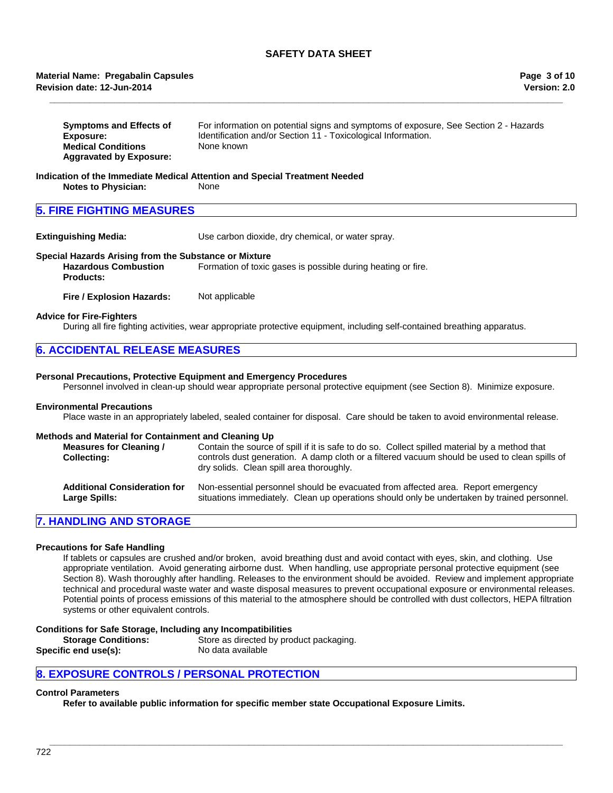#### **Revision date: 12-Jun-2014 Material Name: Pregabalin Capsules**

| <b>Symptoms and Effects of</b> | For information on potential signs and symptoms of exposure, See Section 2 - Hazards |
|--------------------------------|--------------------------------------------------------------------------------------|
| Exposure:                      | Identification and/or Section 11 - Toxicological Information.                        |
| <b>Medical Conditions</b>      | None known                                                                           |
| <b>Aggravated by Exposure:</b> |                                                                                      |

**\_\_\_\_\_\_\_\_\_\_\_\_\_\_\_\_\_\_\_\_\_\_\_\_\_\_\_\_\_\_\_\_\_\_\_\_\_\_\_\_\_\_\_\_\_\_\_\_\_\_\_\_\_\_\_\_\_\_\_\_\_\_\_\_\_\_\_\_\_\_\_\_\_\_\_\_\_\_\_\_\_\_\_\_\_\_\_\_\_\_\_\_\_\_\_\_\_\_\_\_\_\_\_**

#### **Indication of the Immediate Medical Attention and Special Treatment Needed Notes to Physician:** None

### **5. FIRE FIGHTING MEASURES**

**Extinguishing Media:** Use carbon dioxide, dry chemical, or water spray.

#### **Special Hazards Arising from the Substance or Mixture Hazardous Combustion Products:** Formation of toxic gases is possible during heating or fire.

**Fire / Explosion Hazards:** Not applicable

#### **Advice for Fire-Fighters**

During all fire fighting activities, wear appropriate protective equipment, including self-contained breathing apparatus.

| <b>6. ACCIDENTAL RELEASE MEASURES</b> |  |
|---------------------------------------|--|
|---------------------------------------|--|

#### **Personal Precautions, Protective Equipment and Emergency Procedures**

Personnel involved in clean-up should wear appropriate personal protective equipment (see Section 8). Minimize exposure.

#### **Environmental Precautions**

Place waste in an appropriately labeled, sealed container for disposal. Care should be taken to avoid environmental release.

### **Methods and Material for Containment and Cleaning Up**

| Measures for Cleaning /<br><b>Collecting:</b> | Contain the source of spill if it is safe to do so. Collect spilled material by a method that<br>controls dust generation. A damp cloth or a filtered vacuum should be used to clean spills of<br>dry solids. Clean spill area thoroughly. |
|-----------------------------------------------|--------------------------------------------------------------------------------------------------------------------------------------------------------------------------------------------------------------------------------------------|
| <b>Additional Consideration for</b>           | Non-essential personnel should be evacuated from affected area. Report emergency                                                                                                                                                           |
| Large Spills:                                 | situations immediately. Clean up operations should only be undertaken by trained personnel.                                                                                                                                                |

#### **7. HANDLING AND STORAGE**

#### **Precautions for Safe Handling**

If tablets or capsules are crushed and/or broken, avoid breathing dust and avoid contact with eyes, skin, and clothing. Use appropriate ventilation. Avoid generating airborne dust. When handling, use appropriate personal protective equipment (see Section 8). Wash thoroughly after handling. Releases to the environment should be avoided. Review and implement appropriate technical and procedural waste water and waste disposal measures to prevent occupational exposure or environmental releases. Potential points of process emissions of this material to the atmosphere should be controlled with dust collectors, HEPA filtration systems or other equivalent controls.

**\_\_\_\_\_\_\_\_\_\_\_\_\_\_\_\_\_\_\_\_\_\_\_\_\_\_\_\_\_\_\_\_\_\_\_\_\_\_\_\_\_\_\_\_\_\_\_\_\_\_\_\_\_\_\_\_\_\_\_\_\_\_\_\_\_\_\_\_\_\_\_\_\_\_\_\_\_\_\_\_\_\_\_\_\_\_\_\_\_\_\_\_\_\_\_\_\_\_\_\_\_\_\_**

#### **Conditions for Safe Storage, Including any Incompatibilities**

**Storage Conditions:** Store as directed by product packaging. **Specific end use(s):** No data available

#### **8. EXPOSURE CONTROLS / PERSONAL PROTECTION**

#### **Control Parameters**

**Refer to available public information for specific member state Occupational Exposure Limits.**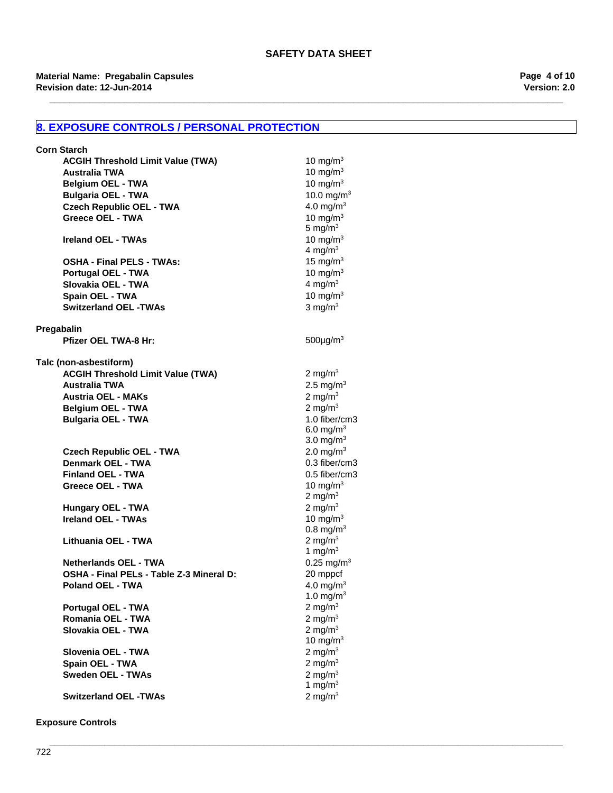**\_\_\_\_\_\_\_\_\_\_\_\_\_\_\_\_\_\_\_\_\_\_\_\_\_\_\_\_\_\_\_\_\_\_\_\_\_\_\_\_\_\_\_\_\_\_\_\_\_\_\_\_\_\_\_\_\_\_\_\_\_\_\_\_\_\_\_\_\_\_\_\_\_\_\_\_\_\_\_\_\_\_\_\_\_\_\_\_\_\_\_\_\_\_\_\_\_\_\_\_\_\_\_**

# **8. EXPOSURE CONTROLS / PERSONAL PROTECTION**

| <b>Corn Starch</b>                                          |                                                |
|-------------------------------------------------------------|------------------------------------------------|
| <b>ACGIH Threshold Limit Value (TWA)</b>                    | 10 mg/m $3$                                    |
| <b>Australia TWA</b>                                        | 10 mg/m $3$                                    |
| <b>Belgium OEL - TWA</b>                                    | 10 mg/m $3$                                    |
| <b>Bulgaria OEL - TWA</b>                                   | 10.0 mg/m <sup>3</sup>                         |
| <b>Czech Republic OEL - TWA</b>                             | 4.0 mg/m <sup>3</sup>                          |
| <b>Greece OEL - TWA</b>                                     | 10 mg/m $3$                                    |
|                                                             | 5 mg/m $3$                                     |
| <b>Ireland OEL - TWAs</b>                                   | 10 mg/m $3$                                    |
|                                                             | 4 mg/m $3$                                     |
| <b>OSHA - Final PELS - TWAs:</b>                            | 15 mg/m $3$                                    |
| <b>Portugal OEL - TWA</b>                                   | 10 mg/m $3$                                    |
| Slovakia OEL - TWA                                          | 4 mg/ $m3$                                     |
| Spain OEL - TWA                                             | 10 mg/m $3$                                    |
| <b>Switzerland OEL -TWAs</b>                                | 3 mg/ $m3$                                     |
|                                                             |                                                |
| Pregabalin                                                  |                                                |
| <b>Pfizer OEL TWA-8 Hr:</b>                                 | $500 \mu g/m3$                                 |
|                                                             |                                                |
| Talc (non-asbestiform)                                      |                                                |
| <b>ACGIH Threshold Limit Value (TWA)</b>                    | 2 mg/m $3$                                     |
| <b>Australia TWA</b>                                        | 2.5 mg/ $m3$                                   |
| <b>Austria OEL - MAKs</b>                                   | 2 mg/m $3$                                     |
|                                                             | 2 mg/ $m3$                                     |
| <b>Belgium OEL - TWA</b>                                    | 1.0 fiber/cm3                                  |
| <b>Bulgaria OEL - TWA</b>                                   |                                                |
|                                                             | 6.0 mg/m <sup>3</sup><br>3.0 mg/m <sup>3</sup> |
|                                                             | 2.0 mg/m <sup>3</sup>                          |
| <b>Czech Republic OEL - TWA</b><br><b>Denmark OEL - TWA</b> | 0.3 fiber/cm3                                  |
|                                                             |                                                |
| <b>Finland OEL - TWA</b>                                    | 0.5 fiber/cm3                                  |
| Greece OEL - TWA                                            | 10 mg/m $3$                                    |
|                                                             | 2 mg/m $3$                                     |
| Hungary OEL - TWA                                           | 2 mg/m $3$                                     |
| <b>Ireland OEL - TWAs</b>                                   | 10 mg/m $3$                                    |
|                                                             | $0.8 \text{ mg/m}^3$                           |
| Lithuania OEL - TWA                                         | 2 mg/ $m3$                                     |
|                                                             | 1 mg/ $m3$                                     |
| <b>Netherlands OEL - TWA</b>                                | $0.25$ mg/m <sup>3</sup>                       |
| OSHA - Final PELs - Table Z-3 Mineral D:                    | 20 mppcf                                       |
| Poland OEL - TWA                                            | 4.0 mg/m <sup>3</sup>                          |
|                                                             | 1.0 mg/m $3$                                   |
| Portugal OEL - TWA                                          | 2 mg/m $3$                                     |
| Romania OEL - TWA                                           | 2 mg/m $3$                                     |
| Slovakia OEL - TWA                                          | 2 mg/m $3$                                     |
|                                                             | 10 mg/m $3$                                    |
| Slovenia OEL - TWA                                          | 2 mg/m $3$                                     |
| Spain OEL - TWA                                             | 2 mg/m $3$                                     |
| <b>Sweden OEL - TWAs</b>                                    | 2 mg/m $3$                                     |
|                                                             | 1 mg/m $3$                                     |
| <b>Switzerland OEL -TWAs</b>                                | 2 mg/m $3$                                     |

**Exposure Controls**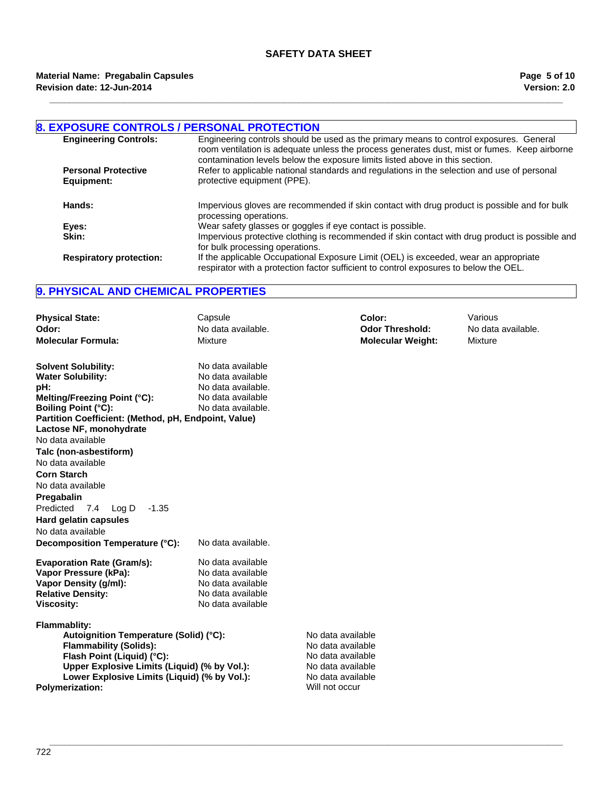**\_\_\_\_\_\_\_\_\_\_\_\_\_\_\_\_\_\_\_\_\_\_\_\_\_\_\_\_\_\_\_\_\_\_\_\_\_\_\_\_\_\_\_\_\_\_\_\_\_\_\_\_\_\_\_\_\_\_\_\_\_\_\_\_\_\_\_\_\_\_\_\_\_\_\_\_\_\_\_\_\_\_\_\_\_\_\_\_\_\_\_\_\_\_\_\_\_\_\_\_\_\_\_**

| <b>8. EXPOSURE CONTROLS / PERSONAL PROTECTION</b> |                                                                                                                                                                                                                                                                        |
|---------------------------------------------------|------------------------------------------------------------------------------------------------------------------------------------------------------------------------------------------------------------------------------------------------------------------------|
| <b>Engineering Controls:</b>                      | Engineering controls should be used as the primary means to control exposures. General<br>room ventilation is adequate unless the process generates dust, mist or fumes. Keep airborne<br>contamination levels below the exposure limits listed above in this section. |
| <b>Personal Protective</b>                        | Refer to applicable national standards and regulations in the selection and use of personal                                                                                                                                                                            |
| Equipment:                                        | protective equipment (PPE).                                                                                                                                                                                                                                            |
| Hands:                                            | Impervious gloves are recommended if skin contact with drug product is possible and for bulk<br>processing operations.                                                                                                                                                 |
| Eyes:                                             | Wear safety glasses or goggles if eye contact is possible.                                                                                                                                                                                                             |
| Skin:                                             | Impervious protective clothing is recommended if skin contact with drug product is possible and<br>for bulk processing operations.                                                                                                                                     |
| <b>Respiratory protection:</b>                    | If the applicable Occupational Exposure Limit (OEL) is exceeded, wear an appropriate<br>respirator with a protection factor sufficient to control exposures to below the OEL.                                                                                          |

# **9. PHYSICAL AND CHEMICAL PROPERTIES**

| <b>Physical State:</b><br>Odor:<br><b>Molecular Formula:</b>                                                                                                                                                                                                  | Capsule<br>No data available.<br>Mixture                                                                | Color:<br><b>Odor Threshold:</b><br><b>Molecular Weight:</b>                                                            | Various<br>No data available.<br>Mixture |
|---------------------------------------------------------------------------------------------------------------------------------------------------------------------------------------------------------------------------------------------------------------|---------------------------------------------------------------------------------------------------------|-------------------------------------------------------------------------------------------------------------------------|------------------------------------------|
| <b>Solvent Solubility:</b><br><b>Water Solubility:</b><br>pH:<br>Melting/Freezing Point (°C):<br><b>Boiling Point (°C):</b><br>Partition Coefficient: (Method, pH, Endpoint, Value)<br>Lactose NF, monohydrate<br>No data available<br>Talc (non-asbestiform) | No data available<br>No data available<br>No data available.<br>No data available<br>No data available. |                                                                                                                         |                                          |
| No data available<br><b>Corn Starch</b><br>No data available<br>Pregabalin<br>Predicted<br>7.4 $Log D$<br>$-1.35$<br>Hard gelatin capsules<br>No data available<br>Decomposition Temperature (°C):                                                            | No data available.                                                                                      |                                                                                                                         |                                          |
| <b>Evaporation Rate (Gram/s):</b><br>Vapor Pressure (kPa):<br>Vapor Density (g/ml):<br><b>Relative Density:</b><br><b>Viscosity:</b>                                                                                                                          | No data available<br>No data available<br>No data available<br>No data available<br>No data available   |                                                                                                                         |                                          |
| <b>Flammablity:</b><br>Autoignition Temperature (Solid) (°C):<br><b>Flammability (Solids):</b><br>Flash Point (Liquid) (°C):<br>Upper Explosive Limits (Liquid) (% by Vol.):<br>Lower Explosive Limits (Liquid) (% by Vol.):<br><b>Polymerization:</b>        |                                                                                                         | No data available<br>No data available<br>No data available<br>No data available<br>No data available<br>Will not occur |                                          |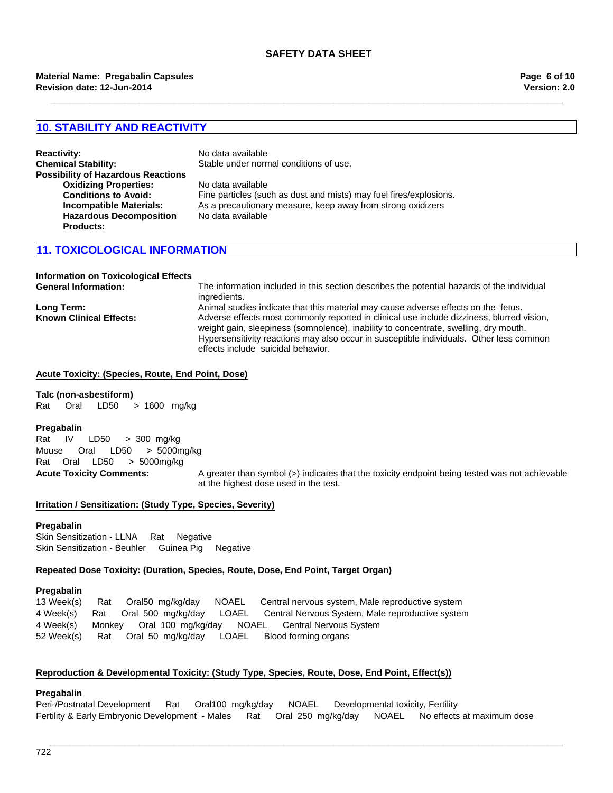**\_\_\_\_\_\_\_\_\_\_\_\_\_\_\_\_\_\_\_\_\_\_\_\_\_\_\_\_\_\_\_\_\_\_\_\_\_\_\_\_\_\_\_\_\_\_\_\_\_\_\_\_\_\_\_\_\_\_\_\_\_\_\_\_\_\_\_\_\_\_\_\_\_\_\_\_\_\_\_\_\_\_\_\_\_\_\_\_\_\_\_\_\_\_\_\_\_\_\_\_\_\_\_**

## **10. STABILITY AND REACTIVITY**

| <b>Reactivity:</b>                        |
|-------------------------------------------|
| <b>Chemical Stability:</b>                |
| <b>Possibility of Hazardous Reactions</b> |
| <b>Oxidizing Properties:</b>              |
| <b>Conditions to Avoid:</b>               |
| <b>Incompatible Materials:</b>            |
| <b>Hazardous Decomposition</b>            |
| Products:                                 |
|                                           |

**Reactivity:** No data available Stable under normal conditions of use. **Oxidizing Properties:** No data available Fine particles (such as dust and mists) may fuel fires/explosions. As a precautionary measure, keep away from strong oxidizers No data available

# **11. TOXICOLOGICAL INFORMATION**

# **Information on Toxicological Effects**

The information included in this section describes the potential hazards of the individual ingredients. **Long Term:** Animal studies indicate that this material may cause adverse effects on the fetus. **Known Clinical Effects:** Adverse effects most commonly reported in clinical use include dizziness, blurred vision, weight gain, sleepiness (somnolence), inability to concentrate, swelling, dry mouth. Hypersensitivity reactions may also occur in susceptible individuals. Other less common effects include suicidal behavior.

#### **Acute Toxicity: (Species, Route, End Point, Dose)**

**Talc (non-asbestiform)** Rat Oral LD50 >1600 mg/kg

#### **Pregabalin**

**Acute Toxicity Comments:** A greater than symbol (>) indicates that the toxicity endpoint being tested was not achievable at the highest dose used in the test. Mouse Oral LD50 >5000mg/kg RatOralLD50 >5000mg/kg Rat IV LD50 >300mg/kg

#### **Irritation / Sensitization: (Study Type, Species, Severity)**

#### **Pregabalin**

Skin Sensitization - LLNARatNegative Skin Sensitization - BeuhlerGuinea PigNegative

#### **Repeated Dose Toxicity: (Duration, Species, Route, Dose, End Point, Target Organ)**

#### **Pregabalin**

13 Week(s)RatOral50mg/kg/dayNOAELCentral nervous system, Male reproductive system 4 Week(s)RatOral500mg/kg/dayLOAELCentral Nervous System, Male reproductive system 4 Week(s)MonkeyOral100mg/kg/dayNOAELCentral Nervous System 52 Week(s)RatOral50mg/kg/dayLOAELBlood forming organs

## **Reproduction & Developmental Toxicity: (Study Type, Species, Route, Dose, End Point, Effect(s))**

#### **Pregabalin**

Peri-/Postnatal DevelopmentRatOral100mg/kg/dayNOAELDevelopmental toxicity, Fertility Fertility & Early Embryonic Development - MalesRatOral250mg/kg/dayNOAELNo effects at maximum dose

**\_\_\_\_\_\_\_\_\_\_\_\_\_\_\_\_\_\_\_\_\_\_\_\_\_\_\_\_\_\_\_\_\_\_\_\_\_\_\_\_\_\_\_\_\_\_\_\_\_\_\_\_\_\_\_\_\_\_\_\_\_\_\_\_\_\_\_\_\_\_\_\_\_\_\_\_\_\_\_\_\_\_\_\_\_\_\_\_\_\_\_\_\_\_\_\_\_\_\_\_\_\_\_**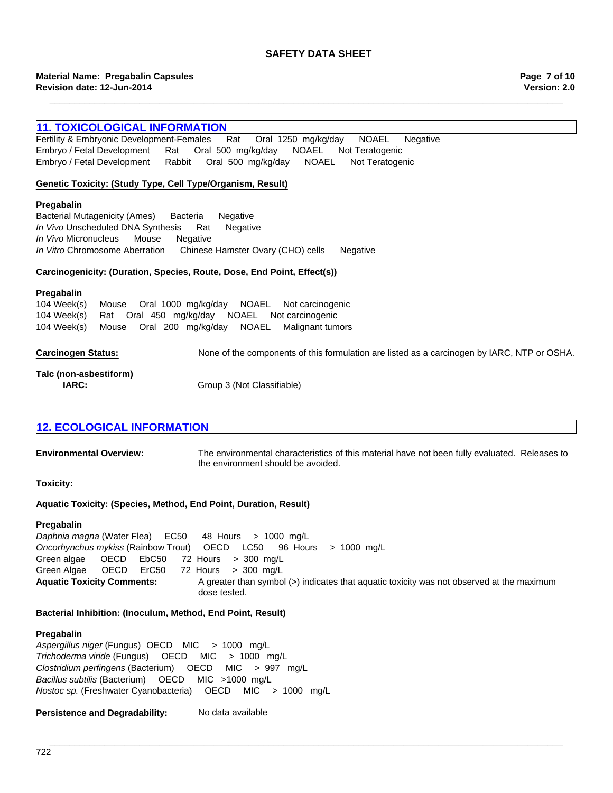**\_\_\_\_\_\_\_\_\_\_\_\_\_\_\_\_\_\_\_\_\_\_\_\_\_\_\_\_\_\_\_\_\_\_\_\_\_\_\_\_\_\_\_\_\_\_\_\_\_\_\_\_\_\_\_\_\_\_\_\_\_\_\_\_\_\_\_\_\_\_\_\_\_\_\_\_\_\_\_\_\_\_\_\_\_\_\_\_\_\_\_\_\_\_\_\_\_\_\_\_\_\_\_**

#### **11. TOXICOLOGICAL INFORMATION**

Fertility & Embryonic Development-FemalesRatOral1250mg/kg/dayNOAELNegative Embryo / Fetal DevelopmentRatOral500mg/kg/dayNOAELNot Teratogenic Embryo / Fetal DevelopmentRabbitOral500mg/kg/dayNOAELNot Teratogenic

#### **Genetic Toxicity: (Study Type, Cell Type/Organism, Result)**

#### **Pregabalin**

Bacterial Mutagenicity (Ames)BacteriaNegative *In Vivo* Unscheduled DNA SynthesisRatNegative *In Vivo* MicronucleusMouseNegative *In Vitro* Chromosome AberrationChinese Hamster Ovary (CHO) cellsNegative

#### **Carcinogenicity: (Duration, Species, Route, Dose, End Point, Effect(s))**

#### **Pregabalin**

104 Week(s)MouseOral200mg/kg/dayNOAELMalignant tumors 104 Week(s)MouseOral1000mg/kg/dayNOAELNot carcinogenic 104 Week(s)RatOral450mg/kg/dayNOAELNot carcinogenic

**Carcinogen Status:** None of the components of this formulation are listed as a carcinogen by IARC, NTP or OSHA.

# **Talc (non-asbestiform)**

**IARC:** Group 3 (Not Classifiable)

# **12. ECOLOGICAL INFORMATION**

**Environmental Overview:** The environmental characteristics of this material have not been fully evaluated. Releases to the environment should be avoided.

**Toxicity:**

#### **Aquatic Toxicity: (Species, Method, End Point, Duration, Result)**

#### **Pregabalin**

Aquatic Toxicity Comments: A greater than symbol (>) indicates that aquatic toxicity was not observed at the maximum dose tested. *Daphnia magna* (Water Flea)EC50 48Hours>1000mg/L *Oncorhynchus mykiss* (Rainbow Trout)OECDLC50 96Hours>1000mg/L Green algae OECDEbC50 72Hours>300mg/L Green Algae OECDErC50 72Hours>300mg/L

#### **Bacterial Inhibition: (Inoculum, Method, End Point, Result)**

### **Pregabalin**

*Aspergillus niger* (Fungus) OECD MIC>1000mg/L *Trichoderma viride* (Fungus)OECDMIC>1000mg/L *Clostridium perfingens* (Bacterium)OECDMIC>997mg/L *Bacillus subtilis* (Bacterium)OECDMIC>1000mg/L *Nostoc sp.* (Freshwater Cyanobacteria)OECDMIC>1000mg/L

#### **Persistence and Degradability:** No data available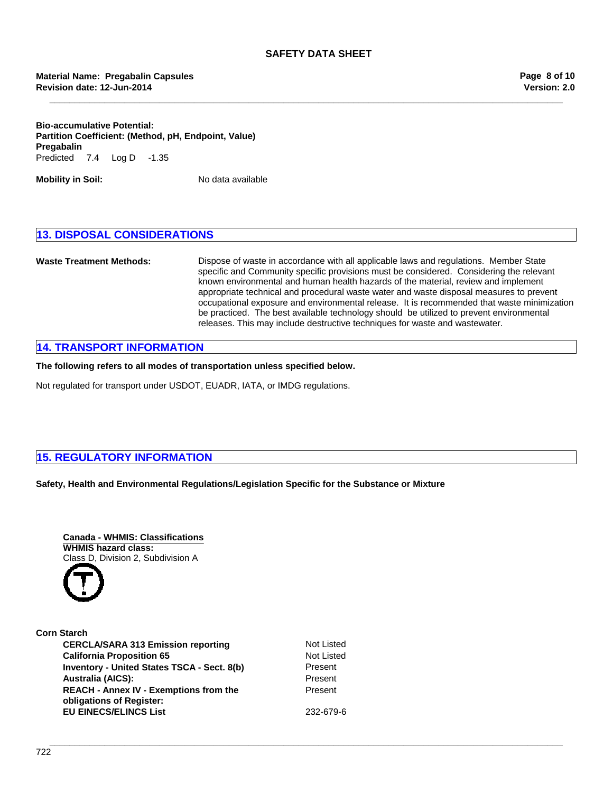**\_\_\_\_\_\_\_\_\_\_\_\_\_\_\_\_\_\_\_\_\_\_\_\_\_\_\_\_\_\_\_\_\_\_\_\_\_\_\_\_\_\_\_\_\_\_\_\_\_\_\_\_\_\_\_\_\_\_\_\_\_\_\_\_\_\_\_\_\_\_\_\_\_\_\_\_\_\_\_\_\_\_\_\_\_\_\_\_\_\_\_\_\_\_\_\_\_\_\_\_\_\_\_**

**Bio-accumulative Potential: Partition Coefficient: (Method, pH, Endpoint, Value)** Predicted7.4Log D-1.35 **Pregabalin**

**Mobility in Soil:** No data available

### **13. DISPOSAL CONSIDERATIONS**

**Waste Treatment Methods:** Dispose of waste in accordance with all applicable laws and regulations. Member State specific and Community specific provisions must be considered. Considering the relevant known environmental and human health hazards of the material, review and implement appropriate technical and procedural waste water and waste disposal measures to prevent occupational exposure and environmental release. It is recommended that waste minimization be practiced. The best available technology should be utilized to prevent environmental releases. This may include destructive techniques for waste and wastewater.

# **14. TRANSPORT INFORMATION**

**The following refers to all modes of transportation unless specified below.**

Not regulated for transport under USDOT, EUADR, IATA, or IMDG regulations.

# **15. REGULATORY INFORMATION**

#### **Safety, Health and Environmental Regulations/Legislation Specific for the Substance or Mixture**



| <b>Not List</b> |
|-----------------|
| <b>Not List</b> |
| Present         |
| Present         |
| Present         |
| 232-679         |
|                 |

**Not Listed** Present **EU EINECS/ELINCS List** 232-679-6

**Not Listed** 

**\_\_\_\_\_\_\_\_\_\_\_\_\_\_\_\_\_\_\_\_\_\_\_\_\_\_\_\_\_\_\_\_\_\_\_\_\_\_\_\_\_\_\_\_\_\_\_\_\_\_\_\_\_\_\_\_\_\_\_\_\_\_\_\_\_\_\_\_\_\_\_\_\_\_\_\_\_\_\_\_\_\_\_\_\_\_\_\_\_\_\_\_\_\_\_\_\_\_\_\_\_\_\_**

Co.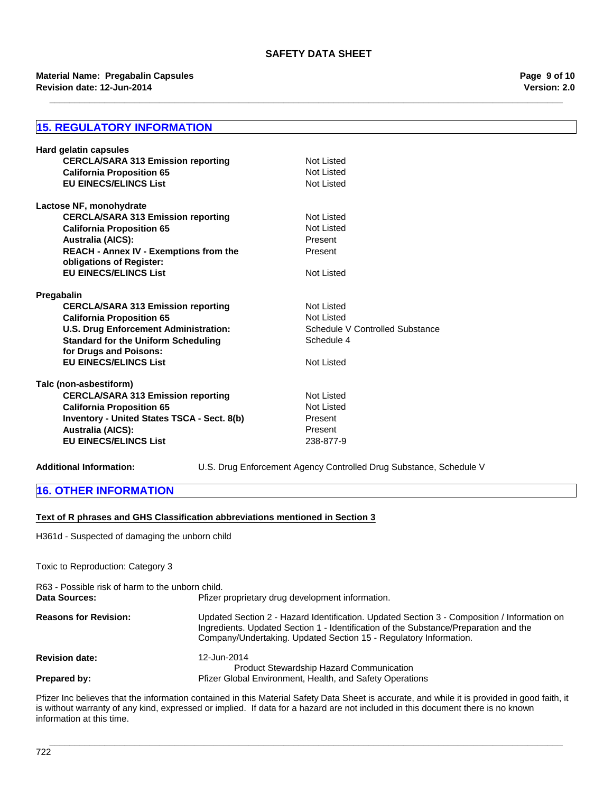**\_\_\_\_\_\_\_\_\_\_\_\_\_\_\_\_\_\_\_\_\_\_\_\_\_\_\_\_\_\_\_\_\_\_\_\_\_\_\_\_\_\_\_\_\_\_\_\_\_\_\_\_\_\_\_\_\_\_\_\_\_\_\_\_\_\_\_\_\_\_\_\_\_\_\_\_\_\_\_\_\_\_\_\_\_\_\_\_\_\_\_\_\_\_\_\_\_\_\_\_\_\_\_**

#### **Revision date: 12-Jun-2014 Material Name: Pregabalin Capsules**

# **15. REGULATORY INFORMATION**

| Hard gelatin capsules                                                |                                 |
|----------------------------------------------------------------------|---------------------------------|
| <b>CERCLA/SARA 313 Emission reporting</b>                            | Not Listed                      |
| <b>California Proposition 65</b>                                     | Not Listed                      |
| <b>EU EINECS/ELINCS List</b>                                         | Not Listed                      |
| Lactose NF, monohydrate                                              |                                 |
| <b>CERCLA/SARA 313 Emission reporting</b>                            | Not Listed                      |
| <b>California Proposition 65</b>                                     | Not Listed                      |
| <b>Australia (AICS):</b>                                             | Present                         |
| REACH - Annex IV - Exemptions from the<br>obligations of Register:   | Present                         |
| <b>EU EINECS/ELINCS List</b>                                         | Not Listed                      |
| Pregabalin                                                           |                                 |
| <b>CERCLA/SARA 313 Emission reporting</b>                            | Not Listed                      |
| <b>California Proposition 65</b>                                     | Not Listed                      |
| <b>U.S. Drug Enforcement Administration:</b>                         | Schedule V Controlled Substance |
| <b>Standard for the Uniform Scheduling</b><br>for Drugs and Poisons: | Schedule 4                      |
| <b>EU EINECS/ELINCS List</b>                                         | Not Listed                      |
| Talc (non-asbestiform)                                               |                                 |
| <b>CERCLA/SARA 313 Emission reporting</b>                            | Not Listed                      |
| <b>California Proposition 65</b>                                     | Not Listed                      |
| Inventory - United States TSCA - Sect. 8(b)                          | Present                         |
| <b>Australia (AICS):</b>                                             | Present                         |
| <b>EU EINECS/ELINCS List</b>                                         | 238-877-9                       |
|                                                                      |                                 |

**Additional Information:** U.S. Drug Enforcement Agency Controlled Drug Substance, Schedule V

#### **16. OTHER INFORMATION**

#### **Text of R phrases and GHS Classification abbreviations mentioned in Section 3**

H361d - Suspected of damaging the unborn child

Toxic to Reproduction: Category 3

| R63 - Possible risk of harm to the unborn child. |                                                                                                                                                                                                                                                          |  |
|--------------------------------------------------|----------------------------------------------------------------------------------------------------------------------------------------------------------------------------------------------------------------------------------------------------------|--|
| Data Sources:                                    | Pfizer proprietary drug development information.                                                                                                                                                                                                         |  |
| <b>Reasons for Revision:</b>                     | Updated Section 2 - Hazard Identification. Updated Section 3 - Composition / Information on<br>Ingredients. Updated Section 1 - Identification of the Substance/Preparation and the<br>Company/Undertaking. Updated Section 15 - Regulatory Information. |  |
| <b>Revision date:</b>                            | 12-Jun-2014<br><b>Product Stewardship Hazard Communication</b>                                                                                                                                                                                           |  |
| Prepared by:                                     | Pfizer Global Environment, Health, and Safety Operations                                                                                                                                                                                                 |  |

Pfizer Inc believes that the information contained in this Material Safety Data Sheet is accurate, and while it is provided in good faith, it is without warranty of any kind, expressed or implied. If data for a hazard are not included in this document there is no known information at this time.

**\_\_\_\_\_\_\_\_\_\_\_\_\_\_\_\_\_\_\_\_\_\_\_\_\_\_\_\_\_\_\_\_\_\_\_\_\_\_\_\_\_\_\_\_\_\_\_\_\_\_\_\_\_\_\_\_\_\_\_\_\_\_\_\_\_\_\_\_\_\_\_\_\_\_\_\_\_\_\_\_\_\_\_\_\_\_\_\_\_\_\_\_\_\_\_\_\_\_\_\_\_\_\_**